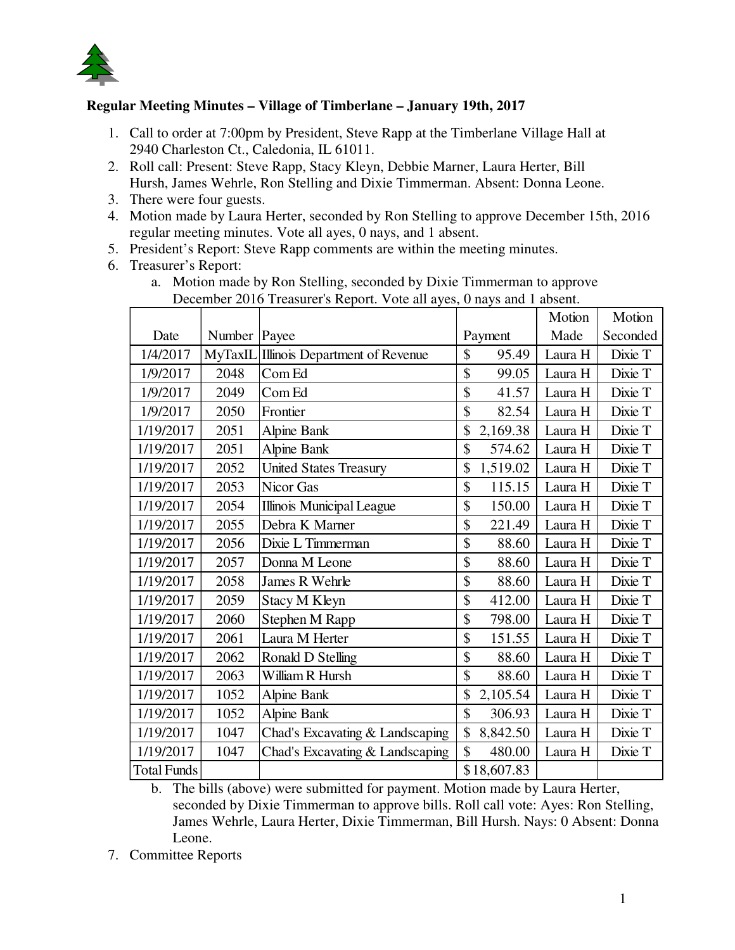

## **Regular Meeting Minutes – Village of Timberlane – January 19th, 2017**

- 1. Call to order at 7:00pm by President, Steve Rapp at the Timberlane Village Hall at 2940 Charleston Ct., Caledonia, IL 61011.
- 2. Roll call: Present: Steve Rapp, Stacy Kleyn, Debbie Marner, Laura Herter, Bill Hursh, James Wehrle, Ron Stelling and Dixie Timmerman. Absent: Donna Leone.
- 3. There were four guests.
- 4. Motion made by Laura Herter, seconded by Ron Stelling to approve December 15th, 2016 regular meeting minutes. Vote all ayes, 0 nays, and 1 absent.
- 5. President's Report: Steve Rapp comments are within the meeting minutes.
- 6. Treasurer's Report:

|                    |         | December 2010 Treasurer's Kepon. Voic an ayes, o hays and I absent. |                        |         |          |
|--------------------|---------|---------------------------------------------------------------------|------------------------|---------|----------|
|                    |         |                                                                     |                        | Motion  | Motion   |
| Date               | Number  | Payee                                                               | Payment                | Made    | Seconded |
| 1/4/2017           | MyTaxIL | Illinois Department of Revenue                                      | \$<br>95.49            | Laura H | Dixie T  |
| 1/9/2017           | 2048    | Com Ed                                                              | \$<br>99.05            | Laura H | Dixie T  |
| 1/9/2017           | 2049    | Com Ed                                                              | \$<br>41.57            | Laura H | Dixie T  |
| 1/9/2017           | 2050    | Frontier                                                            | \$<br>82.54            | Laura H | Dixie T  |
| 1/19/2017          | 2051    | Alpine Bank                                                         | \$<br>2,169.38         | Laura H | Dixie T  |
| 1/19/2017          | 2051    | <b>Alpine Bank</b>                                                  | \$<br>574.62           | Laura H | Dixie T  |
| 1/19/2017          | 2052    | <b>United States Treasury</b>                                       | \$<br>1,519.02         | Laura H | Dixie T  |
| 1/19/2017          | 2053    | Nicor Gas                                                           | \$<br>115.15           | Laura H | Dixie T  |
| 1/19/2017          | 2054    | <b>Illinois Municipal League</b>                                    | \$<br>150.00           | Laura H | Dixie T  |
| 1/19/2017          | 2055    | Debra K Marner                                                      | \$<br>221.49           | Laura H | Dixie T  |
| 1/19/2017          | 2056    | Dixie L Timmerman                                                   | \$<br>88.60            | Laura H | Dixie T  |
| 1/19/2017          | 2057    | Donna M Leone                                                       | \$<br>88.60            | Laura H | Dixie T  |
| 1/19/2017          | 2058    | James R Wehrle                                                      | \$<br>88.60            | Laura H | Dixie T  |
| 1/19/2017          | 2059    | Stacy M Kleyn                                                       | \$<br>412.00           | Laura H | Dixie T  |
| 1/19/2017          | 2060    | Stephen M Rapp                                                      | \$<br>798.00           | Laura H | Dixie T  |
| 1/19/2017          | 2061    | Laura M Herter                                                      | \$<br>151.55           | Laura H | Dixie T  |
| 1/19/2017          | 2062    | Ronald D Stelling                                                   | \$<br>88.60            | Laura H | Dixie T  |
| 1/19/2017          | 2063    | William R Hursh                                                     | \$<br>88.60            | Laura H | Dixie T  |
| 1/19/2017          | 1052    | <b>Alpine Bank</b>                                                  | \$<br>2,105.54         | Laura H | Dixie T  |
| 1/19/2017          | 1052    | Alpine Bank                                                         | \$<br>306.93           | Laura H | Dixie T  |
| 1/19/2017          | 1047    | Chad's Excavating & Landscaping                                     | \$<br>8,842.50         | Laura H | Dixie T  |
| 1/19/2017          | 1047    | Chad's Excavating & Landscaping                                     | $\mathbb{S}$<br>480.00 | Laura H | Dixie T  |
| <b>Total Funds</b> |         |                                                                     | \$18,607.83            |         |          |

a. Motion made by Ron Stelling, seconded by Dixie Timmerman to approve December 2016 Treasurer's Report. Vote all ayes, 0 nays and 1 absent.

b. The bills (above) were submitted for payment. Motion made by Laura Herter, seconded by Dixie Timmerman to approve bills. Roll call vote: Ayes: Ron Stelling, James Wehrle, Laura Herter, Dixie Timmerman, Bill Hursh. Nays: 0 Absent: Donna Leone.

7. Committee Reports